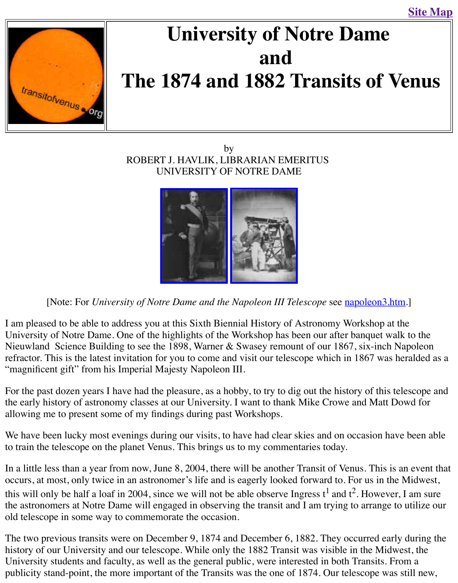

# **The 1874 and 1882 Transits of V[enus](http://old.transitofvenus.org/sitemap.htm)**

### by ROBERT J. HAVLIK, LIBRARIAN EMERITUS UNIVERSITY OF NOTRE DAME



[Note: For *University of No[tre Dame and the](http://old.transitofvenus.org/nd-napoleon3.jpg) [Napoleon III Tel](http://old.transitofvenus.org/nd-pose.jpg)escope* see napoleon3.

I am pleased to be able to address you at this Sixth Biennial History of Astronomy Workshop at the 1 University of Notre Dame. One of the highlights of the Workshop has been our after banquet v Nieuwland Science Building to see the 1898, Warner & Swasey remount of our 1867, six-inch refractor. This is the latest invitation for you to come and visit our telescope which in 1867 wa "magnificent gift" from his Imperial Majesty Napoleon III.

For the past dozen years I have had the pleasure, as a hobby, to try to dig out the history of this the early history of astronomy classes at our University. I want to thank Mike Crowe and Matt allowing me to present some of my findings during past Workshops.

We have been lucky most evenings during our visits, to have had clear skies and on occasion h to train the telescope on the planet Venus. This brings us to my commentaries today.

In a little less than a year from now, June 8, 2004, there will be another Transit of Venus. This occurs, at most, only twice in an astronomer's life and is eagerly looked forward to. For us in t this will only be half a loaf in 2004, since we will not be able observe Ingress  $t^1$  and  $t^2$ . However, I am sure the astronomers at Notre Dame will engaged in observing the transit and I am trying to arrange old telescope in some way to commemorate the occasion.

The two previous transits were on December 9, 1874 and December 6, 1882. They occurred early history of our University and our telescope. While only the 1882 Transit was visible in the Mid University students and faculty, as well as the general public, were interested in both Transits. publicity stand-point, the more important of the Transits was the one of 1874. Our telescope w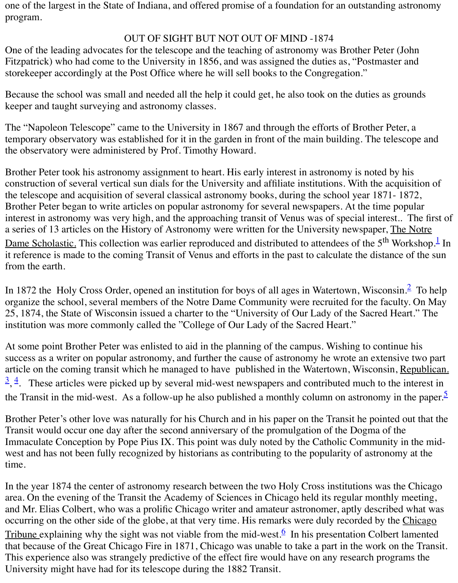Because the school was small and needed all the help it could get, he also took on the duties as keeper and taught surveying and astronomy classes.

The "Napoleon Telescope" came to the University in 1867 and through the efforts of Brother I temporary observatory was established for it in the garden in front of the main building. The te the observatory were administered by Prof. Timothy Howard.

Brother Peter took his astronomy assignment to heart. His early interest in astronomy is noted construction of several vertical sun dials for the University and affiliate institutions. With the a the telescope and acquisition of several classical astronomy books, during the school year 187 Brother Peter began to write articles on popular astronomy for several newspapers. At the time interest in astronomy was very high, and the approaching transit of Venus was of special intere a series of 13 articles on the History of Astronomy were written for the University newspaper, Dame Scholastic. This collection was earlier reproduced and distributed to attendees of the 5<sup>th</sup> it reference is made to the coming Transit of Venus and efforts in the past to calculate the distance of the sunna from the earth.

In 1872 the Holy Cross Order, opened an institution for boys of all ages in Watertown, Wisconsin. organize the school, several members of the Notre Dame Community were recruited for the fa 25, 1874, th[e](http://old.transitofvenus.org/nd1800s.htm#1) State of Wisconsin issued a charter to the "University of Our Lady of the Sacred institution was more commonly called the "College of Our Lady of the Sacred Heart."

At some point Brother Peter was enlisted to aid in the planning of the campus. Wishing to continue his success as a writer on popular astronomy, and further the cause of astronomy he wrote an exten article on the coming transit which he managed to have published in the Watertown, Wisconsin,  $\frac{3}{2}$ ,  $\frac{4}{3}$ . These articles were picked up by several mid-west newspapers and contributed much to the Transit in the mid-west. As a follow-up he also published a monthly column on astronomy

Brother Peter's other love was naturally for his Church and in his paper on the Transit he point Transit would occur one day after the second anniversary of the promulgation of the Dogma of Immaculate Conception by Pope Pius IX. This point was duly noted by the Catholic Communi [w](http://old.transitofvenus.org/nd1800s.htm#3)[es](http://old.transitofvenus.org/nd1800s.htm#4)t and has not been fully recognized by historians as contributing to the popularity of astron time.

In the year 1874 the center of astronomy research between the two Holy Cross institutions was area. On the evening of the Transit the Academy of Sciences in Chicago held its regular month and Mr. Elias Colbert, who was a prolific Chicago writer and amateur astronomer, aptly descri occurring on the other side of the globe, at that very time. His remarks were duly recorded by the Chicago Tribune explaining why the sight was not viable from the mid-west.<sup>6</sup> In his presentation Colbert Lamented Colbert Lamented Colbert Lamented Colbert Lamented Colbert Lamented Colbert Lamented Colbert Lamented Colbert Lame that because of the Great Chicago Fire in 1871, Chicago was unable to take a part in the work This experience also was strangely predictive of the effect fire would have on any research programs. University might have had for its telescope during the 1882 Transit.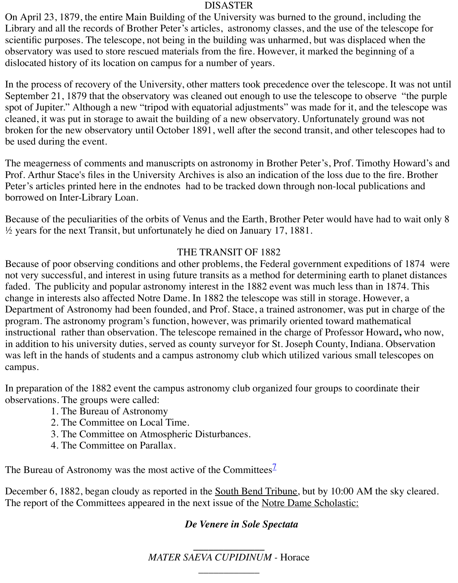In the process of recovery of the University, other matters took precedence over the telescope. September 21, 1879 that the observatory was cleaned out enough to use the telescope to observe spot of Jupiter." Although a new "tripod with equatorial adjustments" was made for it, and the cleaned, it was put in storage to await the building of a new observatory. Unfortunately ground broken for the new observatory until October 1891, well after the second transit, and other tele be used during the event.

The meagerness of comments and manuscripts on astronomy in Brother Peter's, Prof. Timothy Prof. Arthur Stace's files in the University Archives is also an indication of the loss due to the fire. Peter's articles printed here in the endnotes had to be tracked down through non-local publications and the endnotes had to be tracked down through non-local publications. borrowed on Inter-Library Loan.

Because of the peculiarities of the orbits of Venus and the Earth, Brother Peter would have had  $\frac{1}{2}$  years for the next Transit, but unfortunately he died on January 17, 1881.

## THE TRANSIT OF 1882

Because of poor observing conditions and other problems, the Federal government expeditions not very successful, and interest in using future transits as a method for determining earth to pl faded. The publicity and popular astronomy interest in the 1882 event was much less than in 1 change in interests also affected Notre Dame. In 1882 the telescope was still in storage. However, Department of Astronomy had been founded, and Prof. Stace, a trained astronomer, was put in program. The astronomy program's function, however, was primarily oriented toward mathem instructional rather than observation. The telescope remained in the charge of Professor Howard in addition to his university duties, served as county surveyor for St. Joseph County, Indiana. O was left in the hands of students and a campus astronomy club which utilized various small tel campus.

In preparation of the 1882 event the campus astronomy club organized four groups to coordination of the 1882 event the campus astronomy club organized four groups to coordinate observations. The groups were called:

- 1. The Bureau of Astronomy
- 2. The Committee on Local Time.
- 3. The Committee on Atmospheric Disturbances.
- 4. The Committee on Parallax.

The Bureau of Astronomy was the most active of the Committees<sup> $\angle$ </sup>

December 6, 1882, began cloudy as reported in the <u>South Bend Tribune</u>, but by 10:00 AM the The report of the Committees appeared in the next issue of the <u>Notre Dame Scholastic:</u>

## *De Venere in Sole Spectata*

**\_\_\_\_\_\_\_\_\_\_\_\_\_\_** *MATER SAEVA CUPIDINUM -* Horace

*\_\_\_\_\_\_\_\_\_\_\_\_*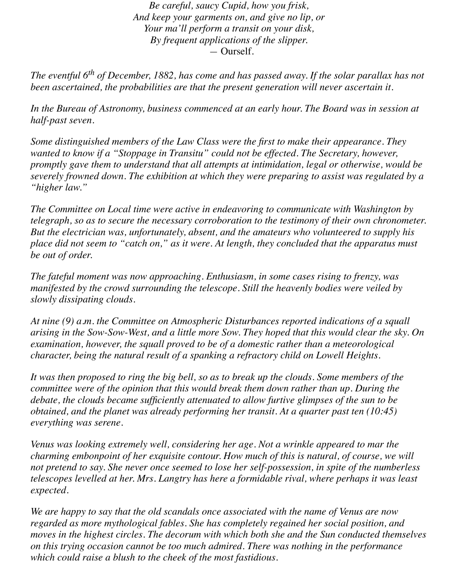*Be careful, saucy Cupid, how you frisk, And keep your garments on, and give no lip, or Your ma'll perform a transit on your disk, By frequent applications of the slipper. —* Ourself.

*The eventful 6th of December, 1882, has come and has passed away. If the solar parallax has not been ascertained, the probabilities are that the present generation will never ascertain it.*

*In the Bureau of Astronomy, business commenced at an early hour. The Board was in session at half-past seven.*

*Some distinguished members of the Law Class were the first to make their appearance. They wanted to know if a "Stoppage in Transitu" could not be effected. The Secretary, however, promptly gave them to understand that all attempts at intimidation, legal or otherwise, would be severely frowned down. The exhibition at which they were preparing to assist was regulated by a "higher law."*

*The Committee on Local time were active in endeavoring to communicate with Washington by telegraph, so as to secure the necessary corroboration to the testimony of their own chronometer. But the electrician was, unfortunately, absent, and the amateurs who volunteered to supply his place did not seem to "catch on," as it were. At length, they concluded that the apparatus must be out of order.*

*The fateful moment was now approaching. Enthusiasm, in some cases rising to frenzy, was manifested by the crowd surrounding the telescope. Still the heavenly bodies were veiled by slowly dissipating clouds.*

*At nine (9) a.m. the Committee on Atmospheric Disturbances reported indications of a squall arising in the Sow-Sow-West, and a little more Sow. They hoped that this would clear the sky. On examination, however, the squall proved to be of a domestic rather than a meteorological character, being the natural result of a spanking a refractory child on Lowell Heights.*

*It was then proposed to ring the big bell, so as to break up the clouds. Some members of the committee were of the opinion that this would break them down rather than up. During the debate, the clouds became sufficiently attenuated to allow furtive glimpses of the sun to be obtained, and the planet was already performing her transit. At a quarter past ten (10:45) everything was serene.*

*Venus was looking extremely well, considering her age. Not a wrinkle appeared to mar the charming embonpoint of her exquisite contour. How much of this is natural, of course, we will not pretend to say. She never once seemed to lose her self-possession, in spite of the numberless telescopes levelled at her. Mrs. Langtry has here a formidable rival, where perhaps it was least expected.*

*We are happy to say that the old scandals once associated with the name of Venus are now regarded as more mythological fables. She has completely regained her social position, and moves in the highest circles. The decorum with which both she and the Sun conducted themselves on this trying occasion cannot be too much admired. There was nothing in the performance which could raise a blush to the cheek of the most fastidious.*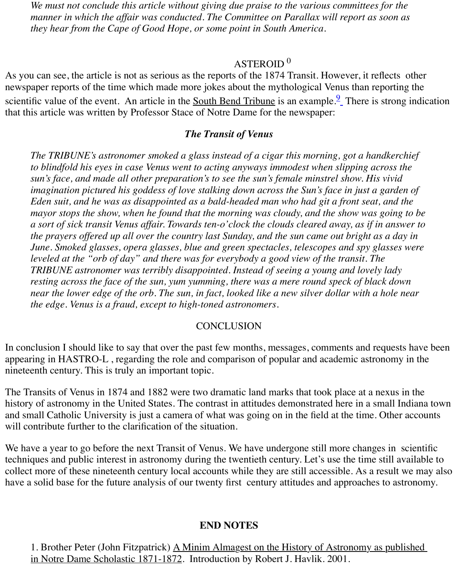$\mathcal{A}$ s you can see, the article is not as serious as the 1874 Transition  $\mathcal{A}$ newspaper reports of the time which made more jokes about the mythological Venus than repo scientific value of the event. An article in the South Bend Tribune is an example.<sup>9</sup> There is strong indication that this article was written by Professor Stace of Notre Dame for the newspaper:

## *The Transit of Venus*

*The TRIBUNE's astronomer smoked a glass instead of a cigar this morning, got a handk* to blindfold his eyes in case Venus went to acting anyways immodest when slipping acro *sun's face, and made all other preparation's to see the sun's female minstre[l s](http://old.transitofvenus.org/nd1800s.htm#9)how. His vi imagination pictured his goddess of love stalking down across the Sun's face in just a ga Eden suit, and he was as disappointed as a bald-headed man who had git a front seat, and the mayor stops the show, when he found that the morning was cloudy, and the show was go a sort of sick transit Venus affair. Towards ten-o'clock the clouds cleared away, as if in a the prayers offered up all over the country last Sunday, and the sun came out bright as a June. Smoked glasses, opera glasses, blue and green spectacles, telescopes and spy glas leveled at the "orb of day" and there was for everybody a good view of the transit. The TRIBUNE astronomer was terribly disappointed. Instead of seeing a young and lovely lady resting across the face of the sun, yum yumming, there was a mere round speck of black near the lower edge of the orb. The sun, in fact, looked like a new silver dollar with a hold near the edge. Venus is a fraud, except to high-toned astronomers.*

# **CONCLUSION**

In conclusion I should like to say that over the past few months, messages, comments and requests appearing in HASTRO-L, regarding the role and comparison of popular and academic astronomy nineteenth century. This is truly an important topic.

The Transits of Venus in 1874 and 1882 were two dramatic land marks that took place at a nex history of astronomy in the United States. The contrast in attitudes demonstrated here in a sma and small Catholic University is just a camera of what was going on in the field at the time. Other and will contribute further to the clarification of the situation.

We have a year to go before the next Transit of Venus. We have undergone still more changes in techniques and public interest in astronomy during the twentieth century. Let's use the time still collect more of these nineteenth century local accounts while they are still accessible. As a res have a solid base for the future analysis of our twenty first century attitudes and approaches to

# **END NOTES**

1. Brother Peter (John Fitzpatrick) A Minim Almagest on the History of Astronomy as published in Notre Dame Scholastic 1871-1872. Introduction by Robert J. Havlik. 2001.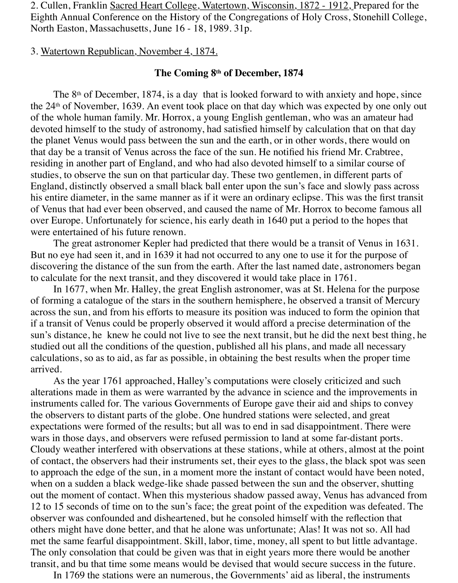2. Cullen, Franklin Sacred Heart College, Watertown, Wisconsin, 1872 - 1912, Prepared for the Eighth Annual Conference on the History of the Congregations of Holy Cross, Stonehill College, North Easton, Massachusetts, June 16 - 18, 1989. 31p.

### 3. Watertown Republican, November 4, 1874.

#### **The Coming 8th of December, 1874**

The  $8<sup>th</sup>$  of December, 1874, is a day that is looked forward to with anxiety and hope, since the 24th of November, 1639. An event took place on that day which was expected by one only out of the whole human family. Mr. Horrox, a young English gentleman, who was an amateur had devoted himself to the study of astronomy, had satisfied himself by calculation that on that day the planet Venus would pass between the sun and the earth, or in other words, there would on that day be a transit of Venus across the face of the sun. He notified his friend Mr. Crabtree, residing in another part of England, and who had also devoted himself to a similar course of studies, to observe the sun on that particular day. These two gentlemen, in different parts of England, distinctly observed a small black ball enter upon the sun's face and slowly pass across his entire diameter, in the same manner as if it were an ordinary eclipse. This was the first transit of Venus that had ever been observed, and caused the name of Mr. Horrox to become famous all over Europe. Unfortunately for science, his early death in 1640 put a period to the hopes that were entertained of his future renown.

 The great astronomer Kepler had predicted that there would be a transit of Venus in 1631. But no eye had seen it, and in 1639 it had not occurred to any one to use it for the purpose of discovering the distance of the sun from the earth. After the last named date, astronomers began to calculate for the next transit, and they discovered it would take place in 1761.

 In 1677, when Mr. Halley, the great English astronomer, was at St. Helena for the purpose of forming a catalogue of the stars in the southern hemisphere, he observed a transit of Mercury across the sun, and from his efforts to measure its position was induced to form the opinion that if a transit of Venus could be properly observed it would afford a precise determination of the sun's distance, he knew he could not live to see the next transit, but he did the next best thing, he studied out all the conditions of the question, published all his plans, and made all necessary calculations, so as to aid, as far as possible, in obtaining the best results when the proper time arrived.

 As the year 1761 approached, Halley's computations were closely criticized and such alterations made in them as were warranted by the advance in science and the improvements in instruments called for. The various Governments of Europe gave their aid and ships to convey the observers to distant parts of the globe. One hundred stations were selected, and great expectations were formed of the results; but all was to end in sad disappointment. There were wars in those days, and observers were refused permission to land at some far-distant ports. Cloudy weather interfered with observations at these stations, while at others, almost at the point of contact, the observers had their instruments set, their eyes to the glass, the black spot was seen to approach the edge of the sun, in a moment more the instant of contact would have been noted, when on a sudden a black wedge-like shade passed between the sun and the observer, shutting out the moment of contact. When this mysterious shadow passed away, Venus has advanced from 12 to 15 seconds of time on to the sun's face; the great point of the expedition was defeated. The observer was confounded and disheartened, but he consoled himself with the reflection that others might have done better, and that he alone was unfortunate; Alas! It was not so. All had met the same fearful disappointment. Skill, labor, time, money, all spent to but little advantage. The only consolation that could be given was that in eight years more there would be another transit, and bu that time some means would be devised that would secure success in the future.

In 1769 the stations were an numerous, the Governments' aid as liberal, the instruments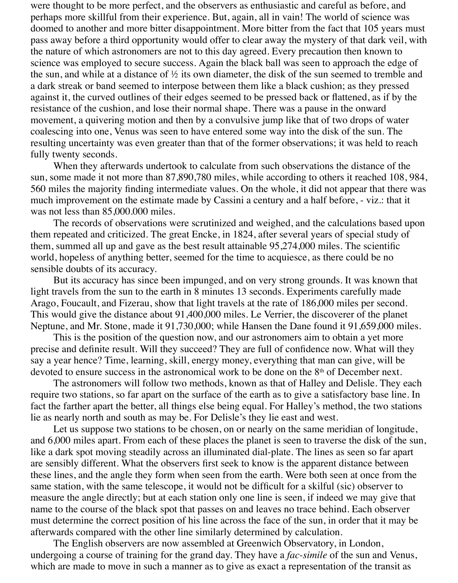were thought to be more perfect, and the observers as enthusiastic and careful as before, and perhaps more skillful from their experience. But, again, all in vain! The world of science was doomed to another and more bitter disappointment. More bitter from the fact that 105 years must pass away before a third opportunity would offer to clear away the mystery of that dark veil, with the nature of which astronomers are not to this day agreed. Every precaution then known to science was employed to secure success. Again the black ball was seen to approach the edge of the sun, and while at a distance of  $\frac{1}{2}$  its own diameter, the disk of the sun seemed to tremble and a dark streak or band seemed to interpose between them like a black cushion; as they pressed against it, the curved outlines of their edges seemed to be pressed back or flattened, as if by the resistance of the cushion, and lose their normal shape. There was a pause in the onward movement, a quivering motion and then by a convulsive jump like that of two drops of water coalescing into one, Venus was seen to have entered some way into the disk of the sun. The resulting uncertainty was even greater than that of the former observations; it was held to reach fully twenty seconds.

 When they afterwards undertook to calculate from such observations the distance of the sun, some made it not more than 87,890,780 miles, while according to others it reached 108, 984, 560 miles the majority finding intermediate values. On the whole, it did not appear that there was much improvement on the estimate made by Cassini a century and a half before, - viz.: that it was not less than 85,000.000 miles.

 The records of observations were scrutinized and weighed, and the calculations based upon them repeated and criticized. The great Encke, in 1824, after several years of special study of them, summed all up and gave as the best result attainable 95,274,000 miles. The scientific world, hopeless of anything better, seemed for the time to acquiesce, as there could be no sensible doubts of its accuracy.

 But its accuracy has since been impunged, and on very strong grounds. It was known that light travels from the sun to the earth in 8 minutes 13 seconds. Experiments carefully made Arago, Foucault, and Fizerau, show that light travels at the rate of 186,000 miles per second. This would give the distance about 91,400,000 miles. Le Verrier, the discoverer of the planet Neptune, and Mr. Stone, made it 91,730,000; while Hansen the Dane found it 91,659,000 miles.

 This is the position of the question now, and our astronomers aim to obtain a yet more precise and definite result. Will they succeed? They are full of confidence now. What will they say a year hence? Time, learning, skill, energy money, everything that man can give, will be devoted to ensure success in the astronomical work to be done on the 8th of December next.

 The astronomers will follow two methods, known as that of Halley and Delisle. They each require two stations, so far apart on the surface of the earth as to give a satisfactory base line. In fact the farther apart the better, all things else being equal. For Halley's method, the two stations lie as nearly north and south as may be. For Delisle's they lie east and west.

 Let us suppose two stations to be chosen, on or nearly on the same meridian of longitude, and 6,000 miles apart. From each of these places the planet is seen to traverse the disk of the sun, like a dark spot moving steadily across an illuminated dial-plate. The lines as seen so far apart are sensibly different. What the observers first seek to know is the apparent distance between these lines, and the angle they form when seen from the earth. Were both seen at once from the same station, with the same telescope, it would not be difficult for a skilful (sic) observer to measure the angle directly; but at each station only one line is seen, if indeed we may give that name to the course of the black spot that passes on and leaves no trace behind. Each observer must determine the correct position of his line across the face of the sun, in order that it may be afterwards compared with the other line similarly determined by calculation.

 The English observers are now assembled at Greenwich Observatory, in London, undergoing a course of training for the grand day. They have a *fac-simile* of the sun and Venus, which are made to move in such a manner as to give as exact a representation of the transit as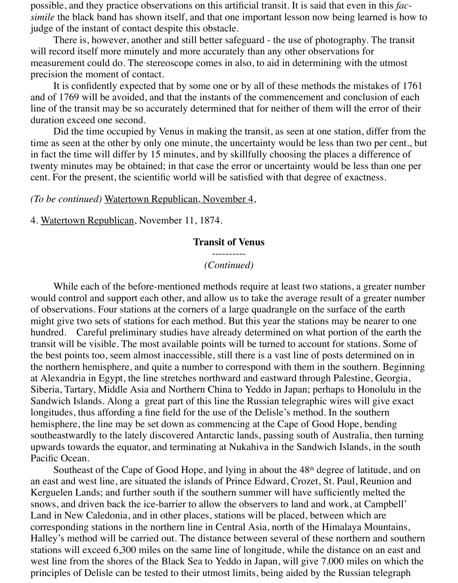possible, and they practice observations on this artificial transit. It is said that even in this *facsimile* the black band has shown itself, and that one important lesson now being learned is how to judge of the instant of contact despite this obstacle.

 There is, however, another and still better safeguard - the use of photography. The transit will record itself more minutely and more accurately than any other observations for measurement could do. The stereoscope comes in also, to aid in determining with the utmost precision the moment of contact.

 It is confidently expected that by some one or by all of these methods the mistakes of 1761 and of 1769 will be avoided, and that the instants of the commencement and conclusion of each line of the transit may be so accurately determined that for neither of them will the error of their duration exceed one second.

 Did the time occupied by Venus in making the transit, as seen at one station, differ from the time as seen at the other by only one minute, the uncertainty would be less than two per cent., but in fact the time will differ by 15 minutes, and by skillfully choosing the places a difference of twenty minutes may be obtained; in that case the error or uncertainty would be less than one per cent. For the present, the scientific world will be satisfied with that degree of exactness.

#### *(To be continued)* Watertown Republican, November 4,

4. Watertown Republican, November 11, 1874.

#### **Transit of Venus**

### ---------- *(Continued)*

 While each of the before-mentioned methods require at least two stations, a greater number would control and support each other, and allow us to take the average result of a greater number of observations. Four stations at the corners of a large quadrangle on the surface of the earth might give two sets of stations for each method. But this year the stations may be nearer to one hundred. Careful preliminary studies have already determined on what portion of the earth the transit will be visible. The most available points will be turned to account for stations. Some of the best points too, seem almost inaccessible, still there is a vast line of posts determined on in the northern hemisphere, and quite a number to correspond with them in the southern. Beginning at Alexandria in Egypt, the line stretches northward and eastward through Palestine, Georgia, Siberia, Tartary, Middle Asia and Northern China to Yeddo in Japan; perhaps to Honolulu in the Sandwich Islands. Along a great part of this line the Russian telegraphic wires will give exact longitudes, thus affording a fine field for the use of the Delisle's method. In the southern hemisphere, the line may be set down as commencing at the Cape of Good Hope, bending southeastwardly to the lately discovered Antarctic lands, passing south of Australia, then turning upwards towards the equator, and terminating at Nukahiva in the Sandwich Islands, in the south Pacific Ocean.

Southeast of the Cape of Good Hope, and lying in about the 48<sup>th</sup> degree of latitude, and on an east and west line, are situated the islands of Prince Edward, Crozet, St. Paul, Reunion and Kerguelen Lands; and further south if the southern summer will have sufficiently melted the snows, and driven back the ice-barrier to allow the observers to land and work, at Campbell' Land in New Caledonia, and in other places, stations will be placed, between which are corresponding stations in the northern line in Central Asia, north of the Himalaya Mountains, Halley's method will be carried out. The distance between several of these northern and southern stations will exceed 6,300 miles on the same line of longitude, while the distance on an east and west line from the shores of the Black Sea to Yeddo in Japan, will give 7.000 miles on which the principles of Delisle can be tested to their utmost limits, being aided by the Russian telegraph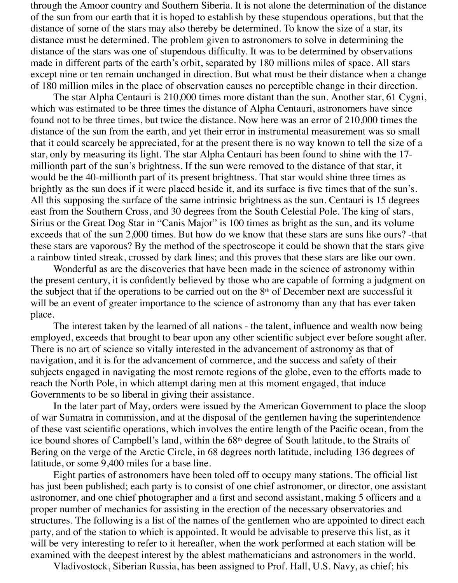through the Amoor country and Southern Siberia. It is not alone the determination of the distance of the sun from our earth that it is hoped to establish by these stupendous operations, but that the distance of some of the stars may also thereby be determined. To know the size of a star, its distance must be determined. The problem given to astronomers to solve in determining the distance of the stars was one of stupendous difficulty. It was to be determined by observations made in different parts of the earth's orbit, separated by 180 millions miles of space. All stars except nine or ten remain unchanged in direction. But what must be their distance when a change of 180 million miles in the place of observation causes no perceptible change in their direction.

 The star Alpha Centauri is 210,000 times more distant than the sun. Another star, 61 Cygni, which was estimated to be three times the distance of Alpha Centauri, astronomers have since found not to be three times, but twice the distance. Now here was an error of 210,000 times the distance of the sun from the earth, and yet their error in instrumental measurement was so small that it could scarcely be appreciated, for at the present there is no way known to tell the size of a star, only by measuring its light. The star Alpha Centauri has been found to shine with the 17 millionth part of the sun's brightness. If the sun were removed to the distance of that star, it would be the 40-millionth part of its present brightness. That star would shine three times as brightly as the sun does if it were placed beside it, and its surface is five times that of the sun's. All this supposing the surface of the same intrinsic brightness as the sun. Centauri is 15 degrees east from the Southern Cross, and 30 degrees from the South Celestial Pole. The king of stars, Sirius or the Great Dog Star in "Canis Major" is 100 times as bright as the sun, and its volume exceeds that of the sun 2,000 times. But how do we know that these stars are suns like ours? -that these stars are vaporous? By the method of the spectroscope it could be shown that the stars give a rainbow tinted streak, crossed by dark lines; and this proves that these stars are like our own.

 Wonderful as are the discoveries that have been made in the science of astronomy within the present century, it is confidently believed by those who are capable of forming a judgment on the subject that if the operations to be carried out on the  $8<sup>th</sup>$  of December next are successful it will be an event of greater importance to the science of astronomy than any that has ever taken place.

 The interest taken by the learned of all nations - the talent, influence and wealth now being employed, exceeds that brought to bear upon any other scientific subject ever before sought after. There is no art of science so vitally interested in the advancement of astronomy as that of navigation, and it is for the advancement of commerce, and the success and safety of their subjects engaged in navigating the most remote regions of the globe, even to the efforts made to reach the North Pole, in which attempt daring men at this moment engaged, that induce Governments to be so liberal in giving their assistance.

 In the later part of May, orders were issued by the American Government to place the sloop of war Sumatra in commission, and at the disposal of the gentlemen having the superintendence of these vast scientific operations, which involves the entire length of the Pacific ocean, from the ice bound shores of Campbell's land, within the 68th degree of South latitude, to the Straits of Bering on the verge of the Arctic Circle, in 68 degrees north latitude, including 136 degrees of latitude, or some 9,400 miles for a base line.

 Eight parties of astronomers have been toled off to occupy many stations. The official list has just been published; each party is to consist of one chief astronomer, or director, one assistant astronomer, and one chief photographer and a first and second assistant, making 5 officers and a proper number of mechanics for assisting in the erection of the necessary observatories and structures. The following is a list of the names of the gentlemen who are appointed to direct each party, and of the station to which is appointed. It would be advisable to preserve this list, as it will be very interesting to refer to it hereafter, when the work performed at each station will be examined with the deepest interest by the ablest mathematicians and astronomers in the world.

Vladivostock, Siberian Russia, has been assigned to Prof. Hall, U.S. Navy, as chief; his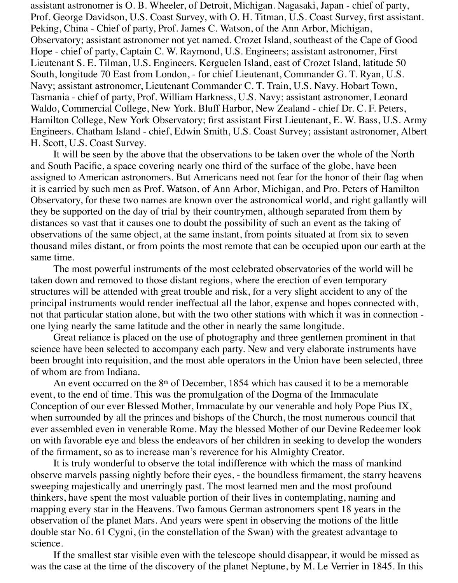assistant astronomer is O. B. Wheeler, of Detroit, Michigan. Nagasaki, Japan - chief of party, Prof. George Davidson, U.S. Coast Survey, with O. H. Titman, U.S. Coast Survey, first assistant. Peking, China - Chief of party, Prof. James C. Watson, of the Ann Arbor, Michigan, Observatory; assistant astronomer not yet named. Crozet Island, southeast of the Cape of Good Hope - chief of party, Captain C. W. Raymond, U.S. Engineers; assistant astronomer, First Lieutenant S. E. Tilman, U.S. Engineers. Kerguelen Island, east of Crozet Island, latitude 50 South, longitude 70 East from London, - for chief Lieutenant, Commander G. T. Ryan, U.S. Navy; assistant astronomer, Lieutenant Commander C. T. Train, U.S. Navy. Hobart Town, Tasmania - chief of party, Prof. William Harkness, U.S. Navy; assistant astronomer, Leonard Waldo, Commercial College, New York. Bluff Harbor, New Zealand - chief Dr. C. F. Peters, Hamilton College, New York Observatory; first assistant First Lieutenant, E. W. Bass, U.S. Army Engineers. Chatham Island - chief, Edwin Smith, U.S. Coast Survey; assistant astronomer, Albert H. Scott, U.S. Coast Survey.

 It will be seen by the above that the observations to be taken over the whole of the North and South Pacific, a space covering nearly one third of the surface of the globe, have been assigned to American astronomers. But Americans need not fear for the honor of their flag when it is carried by such men as Prof. Watson, of Ann Arbor, Michigan, and Pro. Peters of Hamilton Observatory, for these two names are known over the astronomical world, and right gallantly will they be supported on the day of trial by their countrymen, although separated from them by distances so vast that it causes one to doubt the possibility of such an event as the taking of observations of the same object, at the same instant, from points situated at from six to seven thousand miles distant, or from points the most remote that can be occupied upon our earth at the same time.

 The most powerful instruments of the most celebrated observatories of the world will be taken down and removed to those distant regions, where the erection of even temporary structures will be attended with great trouble and risk, for a very slight accident to any of the principal instruments would render ineffectual all the labor, expense and hopes connected with, not that particular station alone, but with the two other stations with which it was in connection one lying nearly the same latitude and the other in nearly the same longitude.

 Great reliance is placed on the use of photography and three gentlemen prominent in that science have been selected to accompany each party. New and very elaborate instruments have been brought into requisition, and the most able operators in the Union have been selected, three of whom are from Indiana.

An event occurred on the  $8<sup>th</sup>$  of December, 1854 which has caused it to be a memorable event, to the end of time. This was the promulgation of the Dogma of the Immaculate Conception of our ever Blessed Mother, Immaculate by our venerable and holy Pope Pius IX, when surrounded by all the princes and bishops of the Church, the most numerous council that ever assembled even in venerable Rome. May the blessed Mother of our Devine Redeemer look on with favorable eye and bless the endeavors of her children in seeking to develop the wonders of the firmament, so as to increase man's reverence for his Almighty Creator.

 It is truly wonderful to observe the total indifference with which the mass of mankind observe marvels passing nightly before their eyes, - the boundless firmament, the starry heavens sweeping majestically and unerringly past. The most learned men and the most profound thinkers, have spent the most valuable portion of their lives in contemplating, naming and mapping every star in the Heavens. Two famous German astronomers spent 18 years in the observation of the planet Mars. And years were spent in observing the motions of the little double star No. 61 Cygni, (in the constellation of the Swan) with the greatest advantage to science.

 If the smallest star visible even with the telescope should disappear, it would be missed as was the case at the time of the discovery of the planet Neptune, by M. Le Verrier in 1845. In this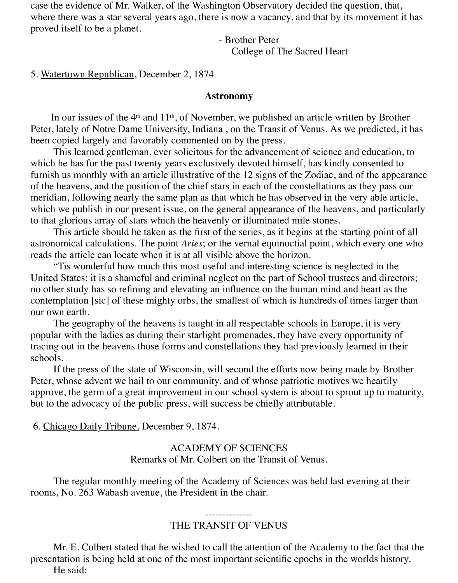case the evidence of Mr. Walker, of the Washington Observatory decided the question, that, where there was a star several years ago, there is now a vacancy, and that by its movement it has proved itself to be a planet.

> - Brother Peter College of The Sacred Heart

### 5. Watertown Republican, December 2, 1874

#### **Astronomy**

In our issues of the  $4<sup>th</sup>$  and  $11<sup>th</sup>$ , of November, we published an article written by Brother Peter, lately of Notre Dame University, Indiana , on the Transit of Venus. As we predicted, it has been copied largely and favorably commented on by the press.

 This learned gentleman, ever solicitous for the advancement of science and education, to which he has for the past twenty years exclusively devoted himself, has kindly consented to furnish us monthly with an article illustrative of the 12 signs of the Zodiac, and of the appearance of the heavens, and the position of the chief stars in each of the constellations as they pass our meridian, following nearly the same plan as that which he has observed in the very able article, which we publish in our present issue, on the general appearance of the heavens, and particularly to that glorious array of stars which the heavenly or illuminated mile stones.

 This article should be taken as the first of the series, as it begins at the starting point of all astronomical calculations. The point *Aries*; or the vernal equinoctial point, which every one who reads the article can locate when it is at all visible above the horizon.

 "Tis wonderful how much this most useful and interesting science is neglected in the United States; it is a shameful and criminal neglect on the part of School trustees and directors; no other study has so refining and elevating an influence on the human mind and heart as the contemplation [sic] of these mighty orbs, the smallest of which is hundreds of times larger than our own earth.

 The geography of the heavens is taught in all respectable schools in Europe, it is very popular with the ladies as during their starlight promenades, they have every opportunity of tracing out in the heavens those forms and constellations they had previously learned in their schools.

 If the press of the state of Wisconsin, will second the efforts now being made by Brother Peter, whose advent we hail to our community, and of whose patriotic motives we heartily approve, the germ of a great improvement in our school system is about to sprout up to maturity, but to the advocacy of the public press, will success be chiefly attributable.

6. Chicago Daily Tribune. December 9, 1874.

### ACADEMY OF SCIENCES Remarks of Mr. Colbert on the Transit of Venus.

 The regular monthly meeting of the Academy of Sciences was held last evening at their rooms, No. 263 Wabash avenue, the President in the chair.

#### -------------- THE TRANSIT OF VENUS

 Mr. E. Colbert stated that he wished to call the attention of the Academy to the fact that the presentation is being held at one of the most important scientific epochs in the worlds history. He said: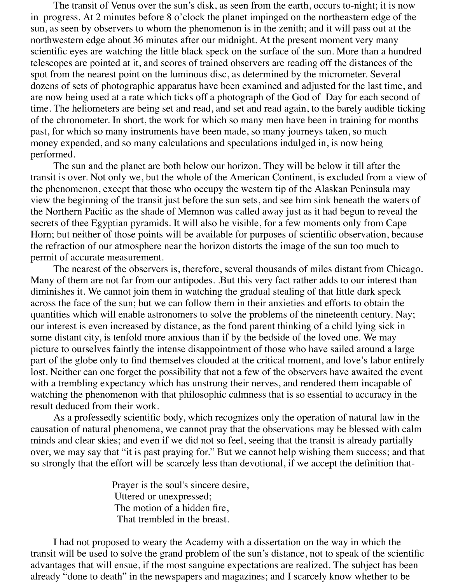The transit of Venus over the sun's disk, as seen from the earth, occurs to-night; it is now in progress. At 2 minutes before 8 o'clock the planet impinged on the northeastern edge of the sun, as seen by observers to whom the phenomenon is in the zenith; and it will pass out at the northwestern edge about 36 minutes after our midnight. At the present moment very many scientific eyes are watching the little black speck on the surface of the sun. More than a hundred telescopes are pointed at it, and scores of trained observers are reading off the distances of the spot from the nearest point on the luminous disc, as determined by the micrometer. Several dozens of sets of photographic apparatus have been examined and adjusted for the last time, and are now being used at a rate which ticks off a photograph of the God of Day for each second of time. The heliometers are being set and read, and set and read again, to the barely audible ticking of the chronometer. In short, the work for which so many men have been in training for months past, for which so many instruments have been made, so many journeys taken, so much money expended, and so many calculations and speculations indulged in, is now being performed.

 The sun and the planet are both below our horizon. They will be below it till after the transit is over. Not only we, but the whole of the American Continent, is excluded from a view of the phenomenon, except that those who occupy the western tip of the Alaskan Peninsula may view the beginning of the transit just before the sun sets, and see him sink beneath the waters of the Northern Pacific as the shade of Memnon was called away just as it had begun to reveal the secrets of thee Egyptian pyramids. It will also be visible, for a few moments only from Cape Horn; but neither of those points will be available for purposes of scientific observation, because the refraction of our atmosphere near the horizon distorts the image of the sun too much to permit of accurate measurement.

 The nearest of the observers is, therefore, several thousands of miles distant from Chicago. Many of them are not far from our antipodes. .But this very fact rather adds to our interest than diminishes it. We cannot join them in watching the gradual stealing of that little dark speck across the face of the sun; but we can follow them in their anxieties and efforts to obtain the quantities which will enable astronomers to solve the problems of the nineteenth century. Nay; our interest is even increased by distance, as the fond parent thinking of a child lying sick in some distant city, is tenfold more anxious than if by the bedside of the loved one. We may picture to ourselves faintly the intense disappointment of those who have sailed around a large part of the globe only to find themselves clouded at the critical moment, and love's labor entirely lost. Neither can one forget the possibility that not a few of the observers have awaited the event with a trembling expectancy which has unstrung their nerves, and rendered them incapable of watching the phenomenon with that philosophic calmness that is so essential to accuracy in the result deduced from their work.

 As a professedly scientific body, which recognizes only the operation of natural law in the causation of natural phenomena, we cannot pray that the observations may be blessed with calm minds and clear skies; and even if we did not so feel, seeing that the transit is already partially over, we may say that "it is past praying for." But we cannot help wishing them success; and that so strongly that the effort will be scarcely less than devotional, if we accept the definition that-

> Prayer is the soul's sincere desire, Uttered or unexpressed; The motion of a hidden fire, That trembled in the breast.

 I had not proposed to weary the Academy with a dissertation on the way in which the transit will be used to solve the grand problem of the sun's distance, not to speak of the scientific advantages that will ensue, if the most sanguine expectations are realized. The subject has been already "done to death" in the newspapers and magazines; and I scarcely know whether to be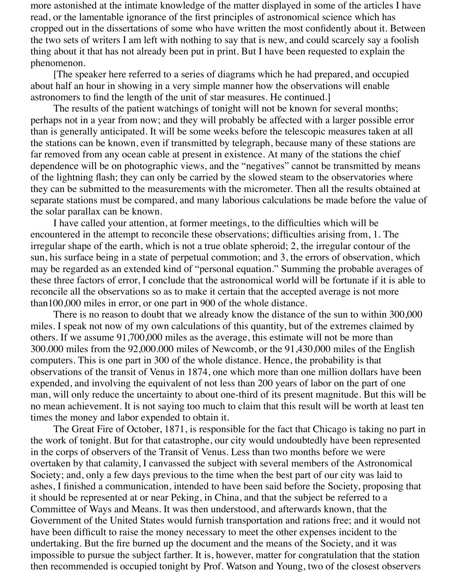more astonished at the intimate knowledge of the matter displayed in some of the articles I have read, or the lamentable ignorance of the first principles of astronomical science which has cropped out in the dissertations of some who have written the most confidently about it. Between the two sets of writers I am left with nothing to say that is new, and could scarcely say a foolish thing about it that has not already been put in print. But I have been requested to explain the phenomenon.

 [The speaker here referred to a series of diagrams which he had prepared, and occupied about half an hour in showing in a very simple manner how the observations will enable astronomers to find the length of the unit of star measures. He continued.]

 The results of the patient watchings of tonight will not be known for several months; perhaps not in a year from now; and they will probably be affected with a larger possible error than is generally anticipated. It will be some weeks before the telescopic measures taken at all the stations can be known, even if transmitted by telegraph, because many of these stations are far removed from any ocean cable at present in existence. At many of the stations the chief dependence will be on photographic views, and the "negatives" cannot be transmitted by means of the lightning flash; they can only be carried by the slowed steam to the observatories where they can be submitted to the measurements with the micrometer. Then all the results obtained at separate stations must be compared, and many laborious calculations be made before the value of the solar parallax can be known.

 I have called your attention, at former meetings, to the difficulties which will be encountered in the attempt to reconcile these observations; difficulties arising from, 1. The irregular shape of the earth, which is not a true oblate spheroid; 2, the irregular contour of the sun, his surface being in a state of perpetual commotion; and 3, the errors of observation, which may be regarded as an extended kind of "personal equation." Summing the probable averages of these three factors of error, I conclude that the astronomical world will be fortunate if it is able to reconcile all the observations so as to make it certain that the accepted average is not more than100,000 miles in error, or one part in 900 of the whole distance.

 There is no reason to doubt that we already know the distance of the sun to within 300,000 miles. I speak not now of my own calculations of this quantity, but of the extremes claimed by others. If we assume 91,700,000 miles as the average, this estimate will not be more than 300.000 miles from the 92,000.000 miles of Newcomb, or the 91,430,000 miles of the English computers. This is one part in 300 of the whole distance. Hence, the probability is that observations of the transit of Venus in 1874, one which more than one million dollars have been expended, and involving the equivalent of not less than 200 years of labor on the part of one man, will only reduce the uncertainty to about one-third of its present magnitude. But this will be no mean achievement. It is not saying too much to claim that this result will be worth at least ten times the money and labor expended to obtain it.

 The Great Fire of October, 1871, is responsible for the fact that Chicago is taking no part in the work of tonight. But for that catastrophe, our city would undoubtedly have been represented in the corps of observers of the Transit of Venus. Less than two months before we were overtaken by that calamity, I canvassed the subject with several members of the Astronomical Society; and, only a few days previous to the time when the best part of our city was laid to ashes, I finished a communication, intended to have been said before the Society, proposing that it should be represented at or near Peking, in China, and that the subject be referred to a Committee of Ways and Means. It was then understood, and afterwards known, that the Government of the United States would furnish transportation and rations free; and it would not have been difficult to raise the money necessary to meet the other expenses incident to the undertaking. But the fire burned up the document and the means of the Society, and it was impossible to pursue the subject farther. It is, however, matter for congratulation that the station then recommended is occupied tonight by Prof. Watson and Young, two of the closest observers